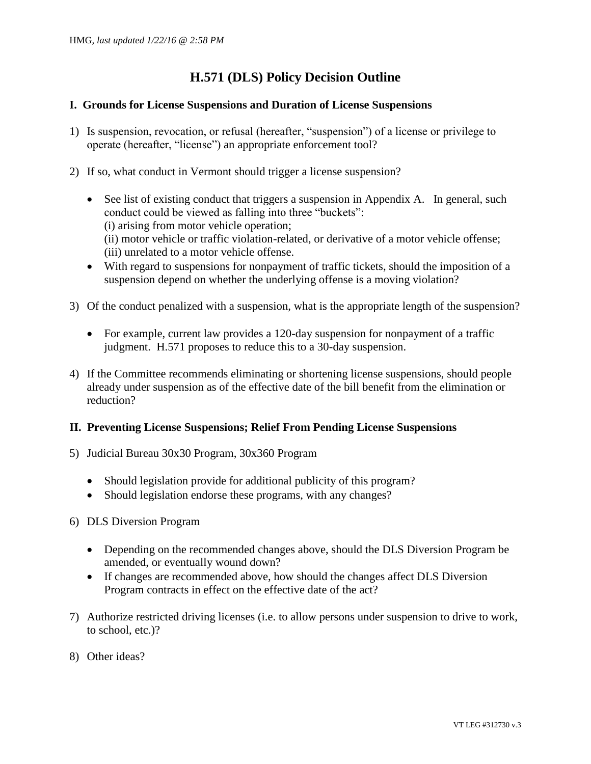## **H.571 (DLS) Policy Decision Outline**

#### **I. Grounds for License Suspensions and Duration of License Suspensions**

- 1) Is suspension, revocation, or refusal (hereafter, "suspension") of a license or privilege to operate (hereafter, "license") an appropriate enforcement tool?
- 2) If so, what conduct in Vermont should trigger a license suspension?
	- See list of existing conduct that triggers a suspension in Appendix A. In general, such conduct could be viewed as falling into three "buckets": (i) arising from motor vehicle operation; (ii) motor vehicle or traffic violation-related, or derivative of a motor vehicle offense; (iii) unrelated to a motor vehicle offense.
	- With regard to suspensions for nonpayment of traffic tickets, should the imposition of a suspension depend on whether the underlying offense is a moving violation?
- 3) Of the conduct penalized with a suspension, what is the appropriate length of the suspension?
	- For example, current law provides a 120-day suspension for nonpayment of a traffic judgment. H.571 proposes to reduce this to a 30-day suspension.
- 4) If the Committee recommends eliminating or shortening license suspensions, should people already under suspension as of the effective date of the bill benefit from the elimination or reduction?

## **II. Preventing License Suspensions; Relief From Pending License Suspensions**

- 5) Judicial Bureau 30x30 Program, 30x360 Program
	- Should legislation provide for additional publicity of this program?
	- Should legislation endorse these programs, with any changes?
- 6) DLS Diversion Program
	- Depending on the recommended changes above, should the DLS Diversion Program be amended, or eventually wound down?
	- If changes are recommended above, how should the changes affect DLS Diversion Program contracts in effect on the effective date of the act?
- 7) Authorize restricted driving licenses (i.e. to allow persons under suspension to drive to work, to school, etc.)?
- 8) Other ideas?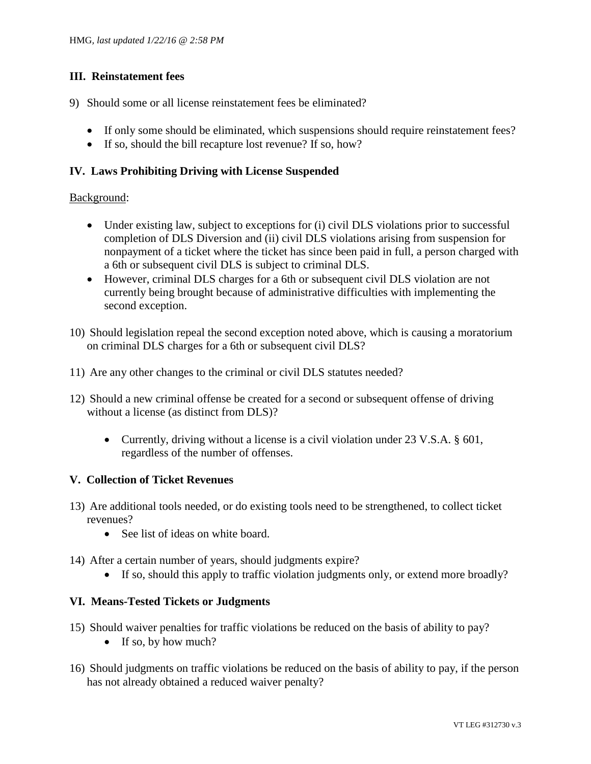## **III. Reinstatement fees**

- 9) Should some or all license reinstatement fees be eliminated?
	- If only some should be eliminated, which suspensions should require reinstatement fees?
	- If so, should the bill recapture lost revenue? If so, how?

## **IV. Laws Prohibiting Driving with License Suspended**

#### Background:

- Under existing law, subject to exceptions for (i) civil DLS violations prior to successful completion of DLS Diversion and (ii) civil DLS violations arising from suspension for nonpayment of a ticket where the ticket has since been paid in full, a person charged with a 6th or subsequent civil DLS is subject to criminal DLS.
- However, criminal DLS charges for a 6th or subsequent civil DLS violation are not currently being brought because of administrative difficulties with implementing the second exception.
- 10) Should legislation repeal the second exception noted above, which is causing a moratorium on criminal DLS charges for a 6th or subsequent civil DLS?
- 11) Are any other changes to the criminal or civil DLS statutes needed?
- 12) Should a new criminal offense be created for a second or subsequent offense of driving without a license (as distinct from DLS)?
	- Currently, driving without a license is a civil violation under 23 V.S.A. § 601, regardless of the number of offenses.

## **V. Collection of Ticket Revenues**

- 13) Are additional tools needed, or do existing tools need to be strengthened, to collect ticket revenues?
	- See list of ideas on white board.
- 14) After a certain number of years, should judgments expire?
	- If so, should this apply to traffic violation judgments only, or extend more broadly?

## **VI. Means-Tested Tickets or Judgments**

- 15) Should waiver penalties for traffic violations be reduced on the basis of ability to pay?
	- If so, by how much?
- 16) Should judgments on traffic violations be reduced on the basis of ability to pay, if the person has not already obtained a reduced waiver penalty?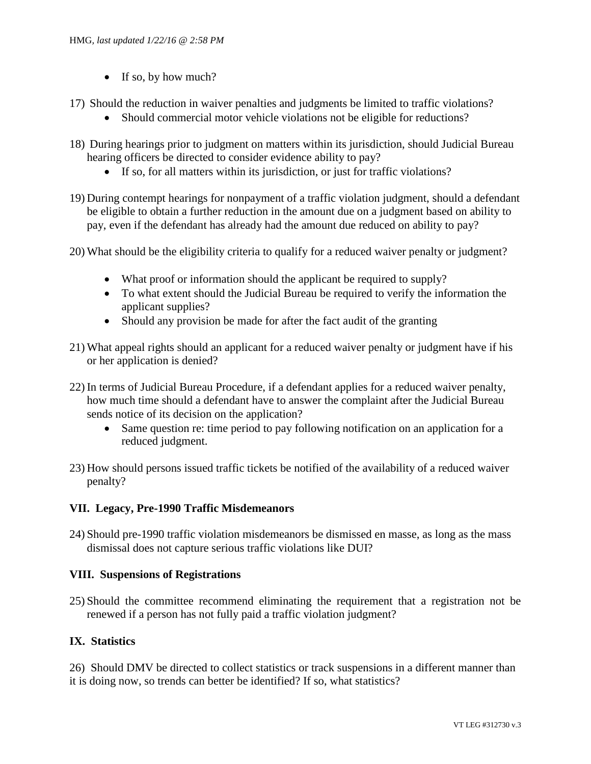- $\bullet$  If so, by how much?
- 17) Should the reduction in waiver penalties and judgments be limited to traffic violations?
	- Should commercial motor vehicle violations not be eligible for reductions?
- 18) During hearings prior to judgment on matters within its jurisdiction, should Judicial Bureau hearing officers be directed to consider evidence ability to pay?
	- If so, for all matters within its jurisdiction, or just for traffic violations?
- 19) During contempt hearings for nonpayment of a traffic violation judgment, should a defendant be eligible to obtain a further reduction in the amount due on a judgment based on ability to pay, even if the defendant has already had the amount due reduced on ability to pay?
- 20) What should be the eligibility criteria to qualify for a reduced waiver penalty or judgment?
	- What proof or information should the applicant be required to supply?
	- To what extent should the Judicial Bureau be required to verify the information the applicant supplies?
	- Should any provision be made for after the fact audit of the granting
- 21) What appeal rights should an applicant for a reduced waiver penalty or judgment have if his or her application is denied?
- 22) In terms of Judicial Bureau Procedure, if a defendant applies for a reduced waiver penalty, how much time should a defendant have to answer the complaint after the Judicial Bureau sends notice of its decision on the application?
	- Same question re: time period to pay following notification on an application for a reduced judgment.
- 23) How should persons issued traffic tickets be notified of the availability of a reduced waiver penalty?

## **VII. Legacy, Pre-1990 Traffic Misdemeanors**

24) Should pre-1990 traffic violation misdemeanors be dismissed en masse, as long as the mass dismissal does not capture serious traffic violations like DUI?

## **VIII. Suspensions of Registrations**

25) Should the committee recommend eliminating the requirement that a registration not be renewed if a person has not fully paid a traffic violation judgment?

## **IX. Statistics**

26) Should DMV be directed to collect statistics or track suspensions in a different manner than it is doing now, so trends can better be identified? If so, what statistics?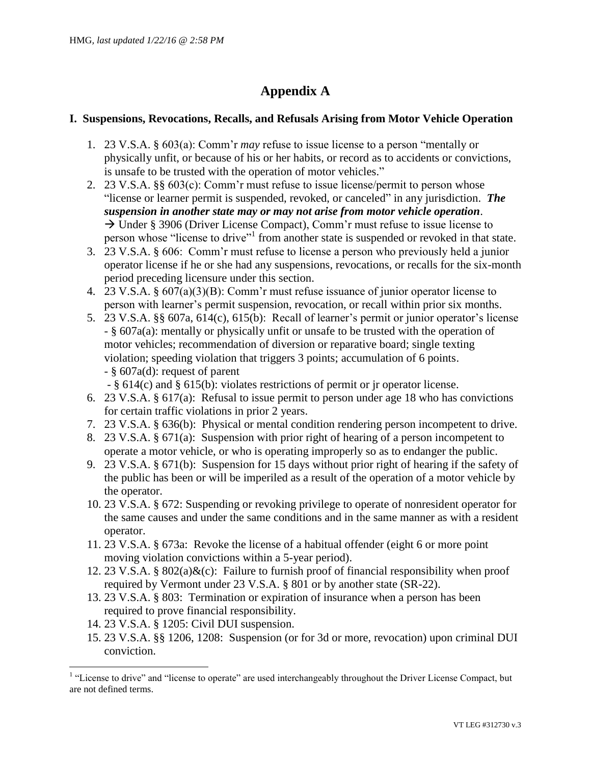# **Appendix A**

## **I. Suspensions, Revocations, Recalls, and Refusals Arising from Motor Vehicle Operation**

- 1. 23 V.S.A. § 603(a): Comm'r *may* refuse to issue license to a person "mentally or physically unfit, or because of his or her habits, or record as to accidents or convictions, is unsafe to be trusted with the operation of motor vehicles."
- 2. 23 V.S.A. §§ 603(c): Comm'r must refuse to issue license/permit to person whose "license or learner permit is suspended, revoked, or canceled" in any jurisdiction. *The suspension in another state may or may not arise from motor vehicle operation*.  $\rightarrow$  Under § 3906 (Driver License Compact), Comm'r must refuse to issue license to person whose "license to drive"<sup>1</sup> from another state is suspended or revoked in that state.
- 3. 23 V.S.A. § 606: Comm'r must refuse to license a person who previously held a junior operator license if he or she had any suspensions, revocations, or recalls for the six-month period preceding licensure under this section.
- 4. 23 V.S.A. § 607(a)(3)(B): Comm'r must refuse issuance of junior operator license to person with learner's permit suspension, revocation, or recall within prior six months.
- 5. 23 V.S.A. §§ 607a, 614(c), 615(b): Recall of learner's permit or junior operator's license - § 607a(a): mentally or physically unfit or unsafe to be trusted with the operation of motor vehicles; recommendation of diversion or reparative board; single texting violation; speeding violation that triggers 3 points; accumulation of 6 points. - § 607a(d): request of parent

- § 614(c) and § 615(b): violates restrictions of permit or jr operator license.

- 6. 23 V.S.A. § 617(a): Refusal to issue permit to person under age 18 who has convictions for certain traffic violations in prior 2 years.
- 7. 23 V.S.A. § 636(b): Physical or mental condition rendering person incompetent to drive.
- 8. 23 V.S.A. § 671(a): Suspension with prior right of hearing of a person incompetent to operate a motor vehicle, or who is operating improperly so as to endanger the public.
- 9. 23 V.S.A. § 671(b): Suspension for 15 days without prior right of hearing if the safety of the public has been or will be imperiled as a result of the operation of a motor vehicle by the operator.
- 10. 23 V.S.A. § 672: Suspending or revoking privilege to operate of nonresident operator for the same causes and under the same conditions and in the same manner as with a resident operator.
- 11. 23 V.S.A. § 673a: Revoke the license of a habitual offender (eight 6 or more point moving violation convictions within a 5-year period).
- 12. 23 V.S.A. § 802(a) $\&c)$ : Failure to furnish proof of financial responsibility when proof required by Vermont under 23 V.S.A. § 801 or by another state (SR-22).
- 13. 23 V.S.A. § 803: Termination or expiration of insurance when a person has been required to prove financial responsibility.
- 14. 23 V.S.A. § 1205: Civil DUI suspension.

 $\overline{a}$ 

15. 23 V.S.A. §§ 1206, 1208: Suspension (or for 3d or more, revocation) upon criminal DUI conviction.

<sup>&</sup>lt;sup>1</sup> "License to drive" and "license to operate" are used interchangeably throughout the Driver License Compact, but are not defined terms.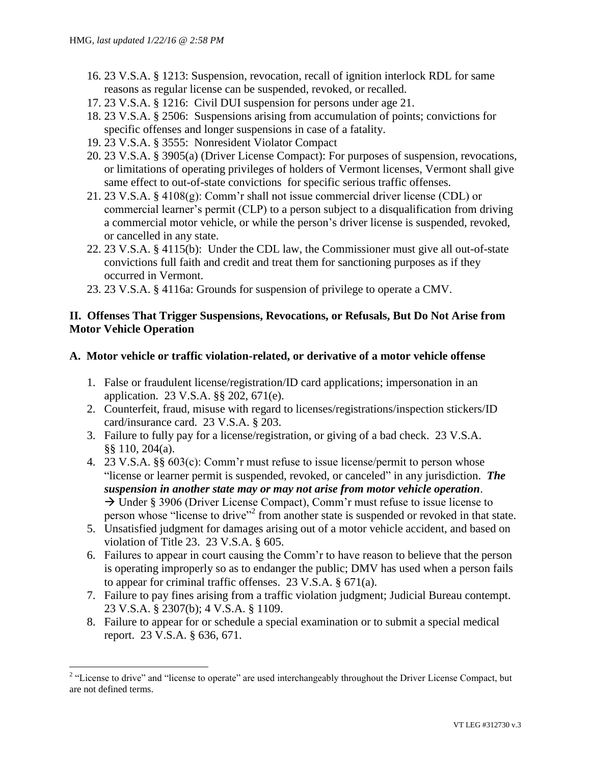- 16. 23 V.S.A. § 1213: Suspension, revocation, recall of ignition interlock RDL for same reasons as regular license can be suspended, revoked, or recalled.
- 17. 23 V.S.A. § 1216: Civil DUI suspension for persons under age 21.
- 18. 23 V.S.A. § 2506: Suspensions arising from accumulation of points; convictions for specific offenses and longer suspensions in case of a fatality.
- 19. 23 V.S.A. § 3555: Nonresident Violator Compact
- 20. 23 V.S.A. § 3905(a) (Driver License Compact): For purposes of suspension, revocations, or limitations of operating privileges of holders of Vermont licenses, Vermont shall give same effect to out-of-state convictions for specific serious traffic offenses.
- 21. 23 V.S.A. § 4108(g): Comm'r shall not issue commercial driver license (CDL) or commercial learner's permit (CLP) to a person subject to a disqualification from driving a commercial motor vehicle, or while the person's driver license is suspended, revoked, or cancelled in any state.
- 22. 23 V.S.A. § 4115(b): Under the CDL law, the Commissioner must give all out-of-state convictions full faith and credit and treat them for sanctioning purposes as if they occurred in Vermont.
- 23. 23 V.S.A. § 4116a: Grounds for suspension of privilege to operate a CMV.

## **II. Offenses That Trigger Suspensions, Revocations, or Refusals, But Do Not Arise from Motor Vehicle Operation**

#### **A. Motor vehicle or traffic violation-related, or derivative of a motor vehicle offense**

- 1. False or fraudulent license/registration/ID card applications; impersonation in an application. 23 V.S.A. §§ 202, 671(e).
- 2. Counterfeit, fraud, misuse with regard to licenses/registrations/inspection stickers/ID card/insurance card. 23 V.S.A. § 203.
- 3. Failure to fully pay for a license/registration, or giving of a bad check. 23 V.S.A. §§ 110, 204(a).
- 4. 23 V.S.A. §§ 603(c): Comm'r must refuse to issue license/permit to person whose "license or learner permit is suspended, revoked, or canceled" in any jurisdiction. *The suspension in another state may or may not arise from motor vehicle operation*.  $\rightarrow$  Under § 3906 (Driver License Compact), Comm'r must refuse to issue license to person whose "license to drive"<sup>2</sup> from another state is suspended or revoked in that state.
- 5. Unsatisfied judgment for damages arising out of a motor vehicle accident, and based on violation of Title 23. 23 V.S.A. § 605.
- 6. Failures to appear in court causing the Comm'r to have reason to believe that the person is operating improperly so as to endanger the public; DMV has used when a person fails to appear for criminal traffic offenses. 23 V.S.A. § 671(a).
- 7. Failure to pay fines arising from a traffic violation judgment; Judicial Bureau contempt. 23 V.S.A. § 2307(b); 4 V.S.A. § 1109.
- 8. Failure to appear for or schedule a special examination or to submit a special medical report. 23 V.S.A. § 636, 671.

<sup>&</sup>lt;sup>2</sup> "License to drive" and "license to operate" are used interchangeably throughout the Driver License Compact, but are not defined terms.